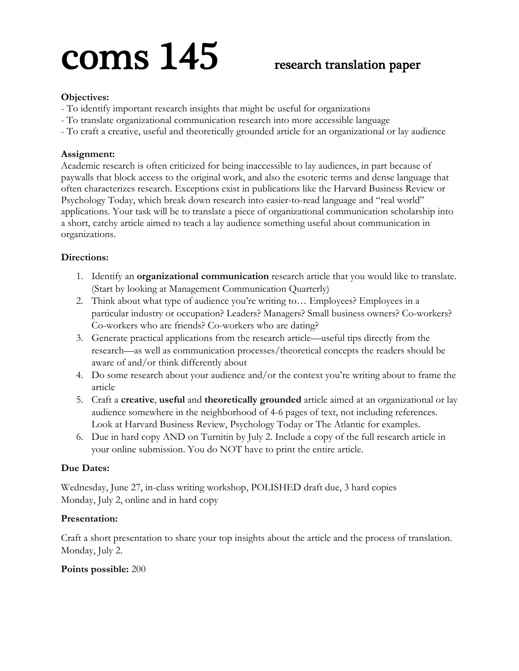# $\text{cons}$   $145$  research translation paper

### **Objectives:**

- To identify important research insights that might be useful for organizations
- To translate organizational communication research into more accessible language
- To craft a creative, useful and theoretically grounded article for an organizational or lay audience

#### **Assignment:**

Academic research is often criticized for being inaccessible to lay audiences, in part because of paywalls that block access to the original work, and also the esoteric terms and dense language that often characterizes research. Exceptions exist in publications like the Harvard Business Review or Psychology Today, which break down research into easier-to-read language and "real world" applications. Your task will be to translate a piece of organizational communication scholarship into a short, catchy article aimed to teach a lay audience something useful about communication in organizations.

#### **Directions:**

- 1. Identify an **organizational communication** research article that you would like to translate. (Start by looking at Management Communication Quarterly)
- 2. Think about what type of audience you're writing to… Employees? Employees in a particular industry or occupation? Leaders? Managers? Small business owners? Co-workers? Co-workers who are friends? Co-workers who are dating?
- 3. Generate practical applications from the research article—useful tips directly from the research—as well as communication processes/theoretical concepts the readers should be aware of and/or think differently about
- 4. Do some research about your audience and/or the context you're writing about to frame the article
- 5. Craft a **creative**, **useful** and **theoretically grounded** article aimed at an organizational or lay audience somewhere in the neighborhood of 4-6 pages of text, not including references. Look at Harvard Business Review, Psychology Today or The Atlantic for examples.
- 6. Due in hard copy AND on Turnitin by July 2. Include a copy of the full research article in your online submission. You do NOT have to print the entire article.

#### **Due Dates:**

Wednesday, June 27, in-class writing workshop, POLISHED draft due, 3 hard copies Monday, July 2, online and in hard copy

#### **Presentation:**

Craft a short presentation to share your top insights about the article and the process of translation. Monday, July 2.

#### **Points possible:** 200